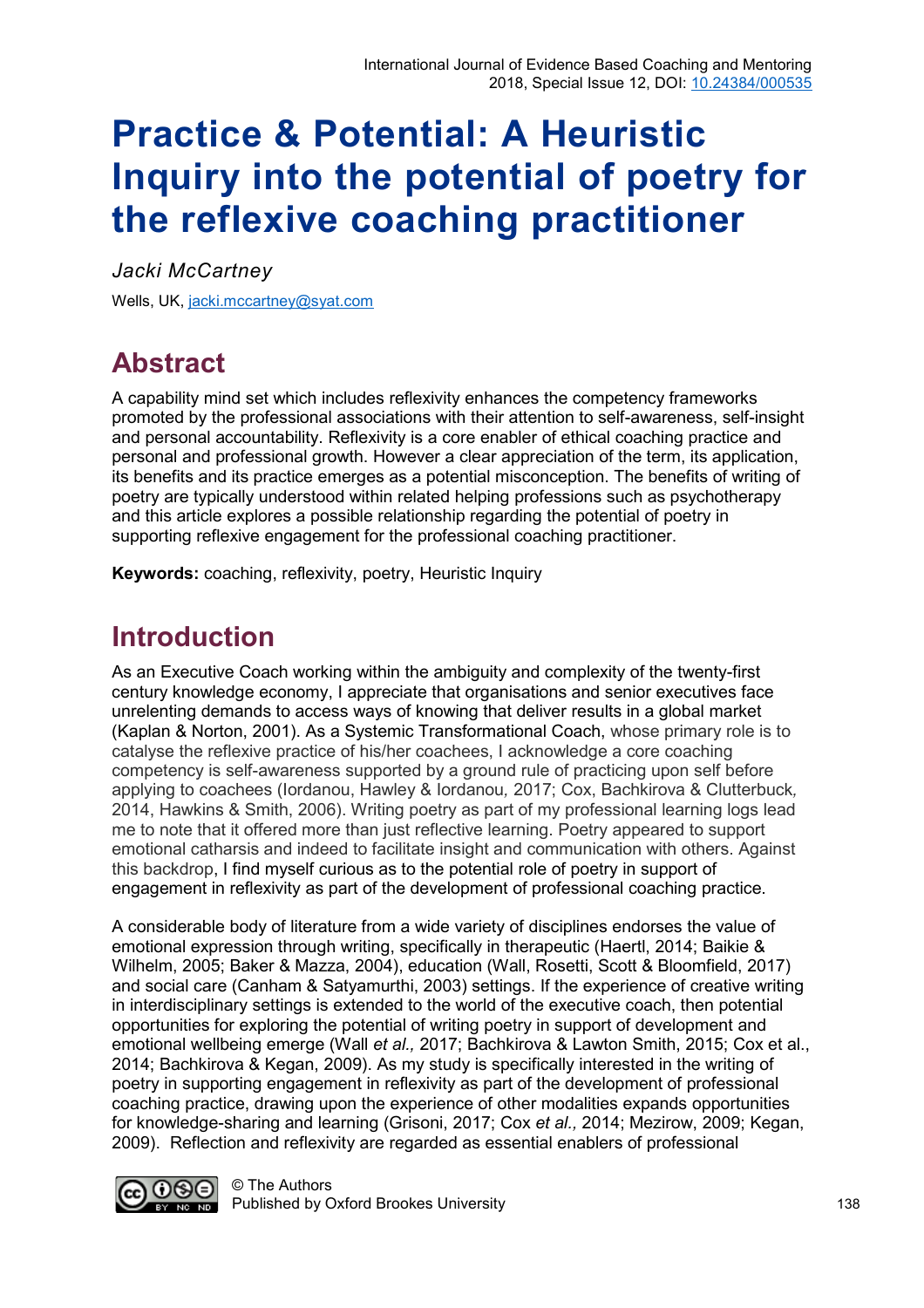# **Practice & Potential: A Heuristic Inquiry into the potential of poetry for the reflexive coaching practitioner**

*Jacki McCartney* Wells, UK, [jacki.mccartney@syat.com](mailto:jacki.mccartney@syat.com) 

# **Abstract**

A capability mind set which includes reflexivity enhances the competency frameworks promoted by the professional associations with their attention to self-awareness, self-insight and personal accountability. Reflexivity is a core enabler of ethical coaching practice and personal and professional growth. However a clear appreciation of the term, its application, its benefits and its practice emerges as a potential misconception. The benefits of writing of poetry are typically understood within related helping professions such as psychotherapy and this article explores a possible relationship regarding the potential of poetry in supporting reflexive engagement for the professional coaching practitioner.

**Keywords:** coaching, reflexivity, poetry, Heuristic Inquiry

### **Introduction**

As an Executive Coach working within the ambiguity and complexity of the twenty-first century knowledge economy, I appreciate that organisations and senior executives face unrelenting demands to access ways of knowing that deliver results in a global market (Kaplan & Norton, 2001). As a Systemic Transformational Coach, whose primary role is to catalyse the reflexive practice of his/her coachees, I acknowledge a core coaching competency is self-awareness supported by a ground rule of practicing upon self before applying to coachees (Iordanou, Hawley & Iordanou*,* 2017; Cox, Bachkirova & Clutterbuck*,* 2014, Hawkins & Smith, 2006). Writing poetry as part of my professional learning logs lead me to note that it offered more than just reflective learning. Poetry appeared to support emotional catharsis and indeed to facilitate insight and communication with others. Against this backdrop, I find myself curious as to the potential role of poetry in support of engagement in reflexivity as part of the development of professional coaching practice.

A considerable body of literature from a wide variety of disciplines endorses the value of emotional expression through writing, specifically in therapeutic (Haertl, 2014; Baikie & Wilhelm, 2005; Baker & Mazza, 2004), education (Wall, Rosetti, Scott & Bloomfield, 2017) and social care (Canham & Satyamurthi, 2003) settings. If the experience of creative writing in interdisciplinary settings is extended to the world of the executive coach, then potential opportunities for exploring the potential of writing poetry in support of development and emotional wellbeing emerge (Wall *et al.,* 2017; Bachkirova & Lawton Smith, 2015; Cox et al., 2014; Bachkirova & Kegan, 2009). As my study is specifically interested in the writing of poetry in supporting engagement in reflexivity as part of the development of professional coaching practice, drawing upon the experience of other modalities expands opportunities for knowledge-sharing and learning (Grisoni, 2017; Cox *et al.,* 2014; Mezirow, 2009; Kegan, 2009). Reflection and reflexivity are regarded as essential enablers of professional

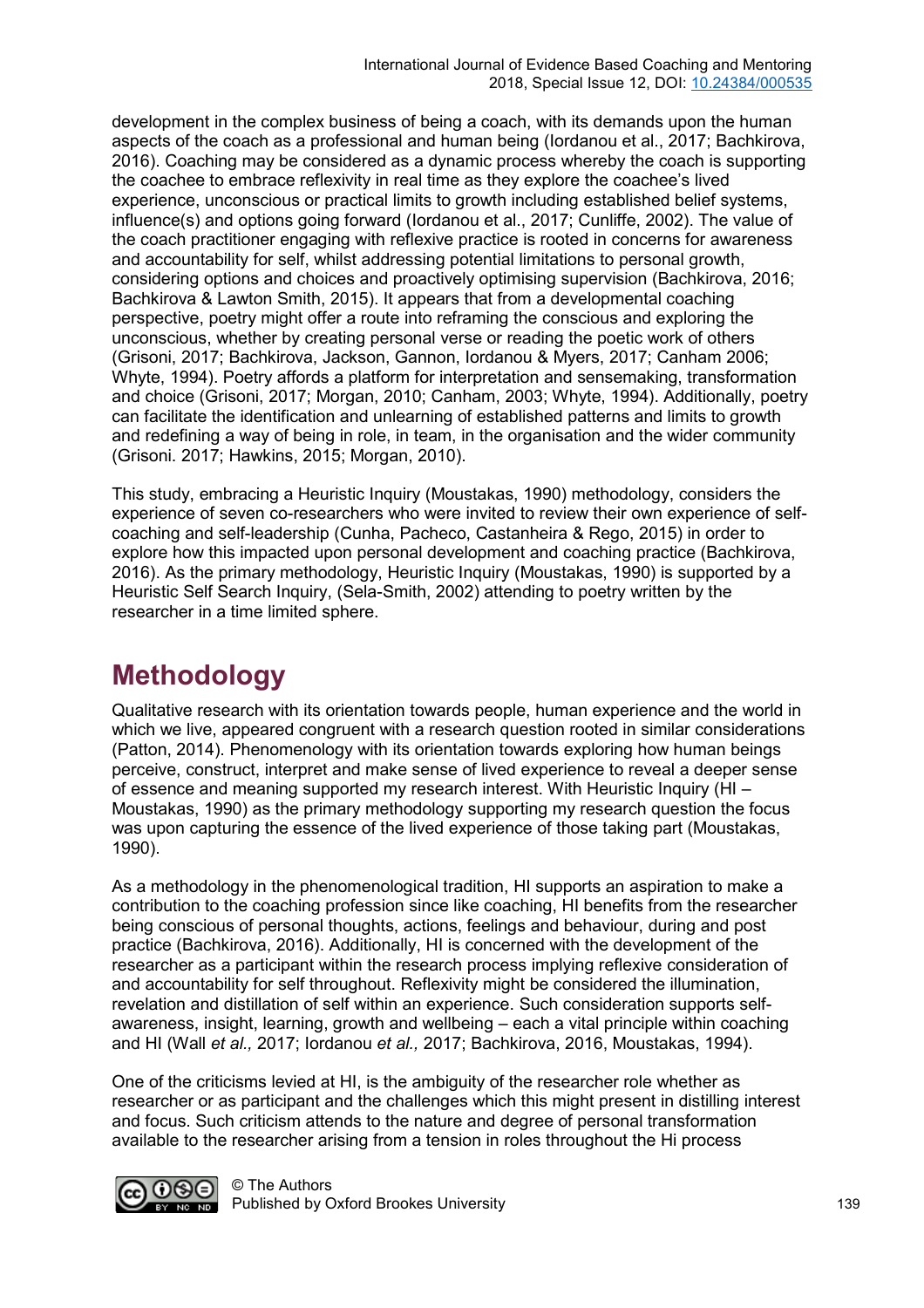development in the complex business of being a coach, with its demands upon the human aspects of the coach as a professional and human being (Iordanou et al., 2017; Bachkirova, 2016). Coaching may be considered as a dynamic process whereby the coach is supporting the coachee to embrace reflexivity in real time as they explore the coachee's lived experience, unconscious or practical limits to growth including established belief systems, influence(s) and options going forward (Iordanou et al., 2017; Cunliffe, 2002). The value of the coach practitioner engaging with reflexive practice is rooted in concerns for awareness and accountability for self, whilst addressing potential limitations to personal growth, considering options and choices and proactively optimising supervision (Bachkirova, 2016; Bachkirova & Lawton Smith, 2015). It appears that from a developmental coaching perspective, poetry might offer a route into reframing the conscious and exploring the unconscious, whether by creating personal verse or reading the poetic work of others (Grisoni, 2017; Bachkirova, Jackson, Gannon, Iordanou & Myers, 2017; Canham 2006; Whyte, 1994). Poetry affords a platform for interpretation and sensemaking, transformation and choice (Grisoni, 2017; Morgan, 2010; Canham, 2003; Whyte, 1994). Additionally, poetry can facilitate the identification and unlearning of established patterns and limits to growth and redefining a way of being in role, in team, in the organisation and the wider community (Grisoni. 2017; Hawkins, 2015; Morgan, 2010).

This study, embracing a Heuristic Inquiry (Moustakas, 1990) methodology, considers the experience of seven co-researchers who were invited to review their own experience of selfcoaching and self-leadership (Cunha, Pacheco, Castanheira & Rego, 2015) in order to explore how this impacted upon personal development and coaching practice (Bachkirova, 2016). As the primary methodology, Heuristic Inquiry (Moustakas, 1990) is supported by a Heuristic Self Search Inquiry, (Sela-Smith, 2002) attending to poetry written by the researcher in a time limited sphere.

## **Methodology**

Qualitative research with its orientation towards people, human experience and the world in which we live, appeared congruent with a research question rooted in similar considerations (Patton, 2014). Phenomenology with its orientation towards exploring how human beings perceive, construct, interpret and make sense of lived experience to reveal a deeper sense of essence and meaning supported my research interest. With Heuristic Inquiry (HI – Moustakas, 1990) as the primary methodology supporting my research question the focus was upon capturing the essence of the lived experience of those taking part (Moustakas, 1990).

As a methodology in the phenomenological tradition, HI supports an aspiration to make a contribution to the coaching profession since like coaching, HI benefits from the researcher being conscious of personal thoughts, actions, feelings and behaviour, during and post practice (Bachkirova, 2016). Additionally, HI is concerned with the development of the researcher as a participant within the research process implying reflexive consideration of and accountability for self throughout. Reflexivity might be considered the illumination, revelation and distillation of self within an experience. Such consideration supports selfawareness, insight, learning, growth and wellbeing – each a vital principle within coaching and HI (Wall *et al.,* 2017; Iordanou *et al.,* 2017; Bachkirova, 2016, Moustakas, 1994).

One of the criticisms levied at HI, is the ambiguity of the researcher role whether as researcher or as participant and the challenges which this might present in distilling interest and focus. Such criticism attends to the nature and degree of personal transformation available to the researcher arising from a tension in roles throughout the Hi process

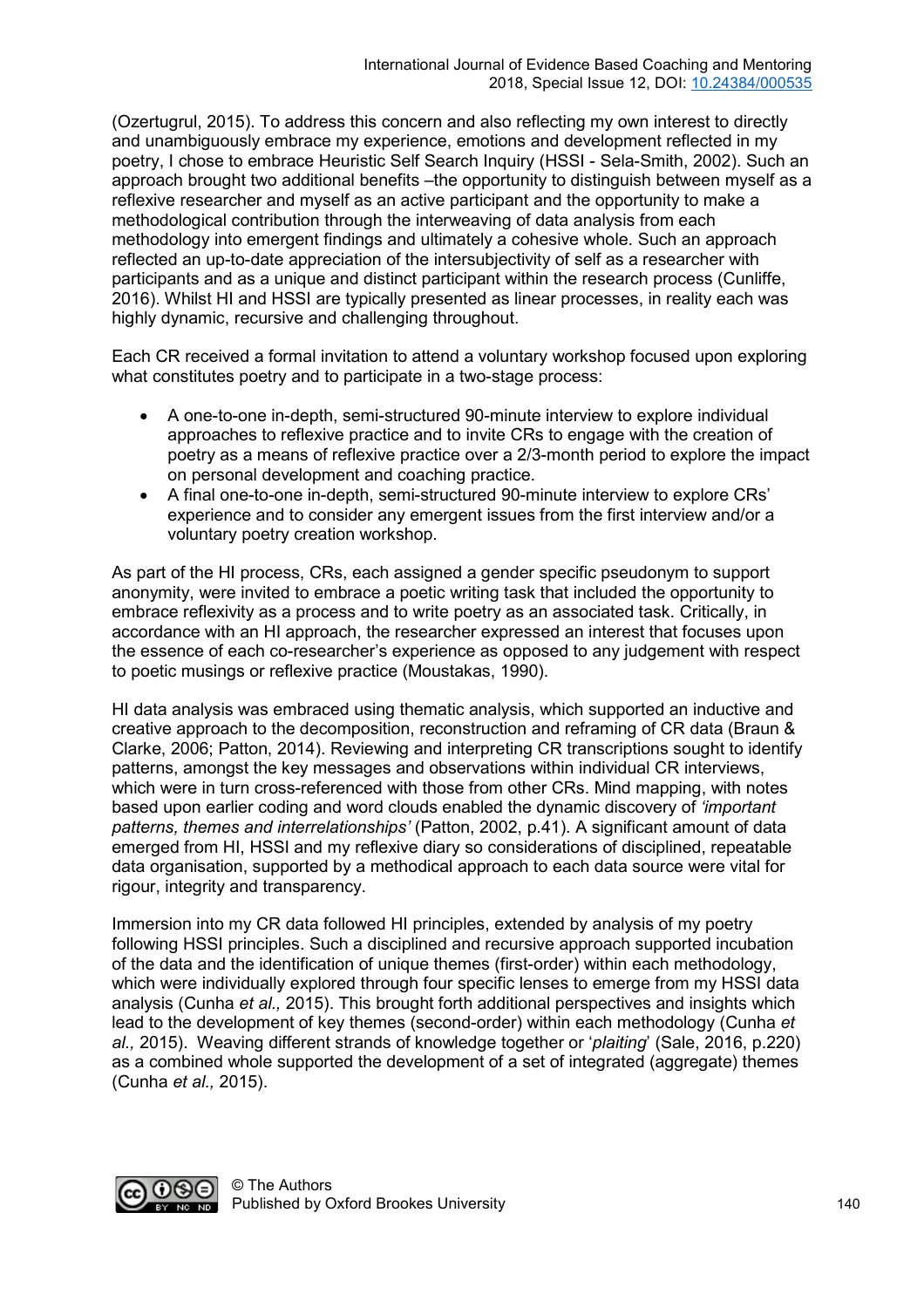(Ozertugrul, 2015). To address this concern and also reflecting my own interest to directly and unambiguously embrace my experience, emotions and development reflected in my poetry, I chose to embrace Heuristic Self Search Inquiry (HSSI - Sela-Smith, 2002). Such an approach brought two additional benefits –the opportunity to distinguish between myself as a reflexive researcher and myself as an active participant and the opportunity to make a methodological contribution through the interweaving of data analysis from each methodology into emergent findings and ultimately a cohesive whole. Such an approach reflected an up-to-date appreciation of the intersubjectivity of self as a researcher with participants and as a unique and distinct participant within the research process (Cunliffe, 2016). Whilst HI and HSSI are typically presented as linear processes, in reality each was highly dynamic, recursive and challenging throughout.

Each CR received a formal invitation to attend a voluntary workshop focused upon exploring what constitutes poetry and to participate in a two-stage process:

- A one-to-one in-depth, semi-structured 90-minute interview to explore individual approaches to reflexive practice and to invite CRs to engage with the creation of poetry as a means of reflexive practice over a 2/3-month period to explore the impact on personal development and coaching practice.
- A final one-to-one in-depth, semi-structured 90-minute interview to explore CRs' experience and to consider any emergent issues from the first interview and/or a voluntary poetry creation workshop.

As part of the HI process, CRs, each assigned a gender specific pseudonym to support anonymity, were invited to embrace a poetic writing task that included the opportunity to embrace reflexivity as a process and to write poetry as an associated task. Critically, in accordance with an HI approach, the researcher expressed an interest that focuses upon the essence of each co-researcher's experience as opposed to any judgement with respect to poetic musings or reflexive practice (Moustakas, 1990).

HI data analysis was embraced using thematic analysis, which supported an inductive and creative approach to the decomposition, reconstruction and reframing of CR data (Braun & Clarke, 2006; Patton, 2014). Reviewing and interpreting CR transcriptions sought to identify patterns, amongst the key messages and observations within individual CR interviews, which were in turn cross-referenced with those from other CRs. Mind mapping, with notes based upon earlier coding and word clouds enabled the dynamic discovery of *'important patterns, themes and interrelationships'* (Patton, 2002, p.41). A significant amount of data emerged from HI, HSSI and my reflexive diary so considerations of disciplined, repeatable data organisation, supported by a methodical approach to each data source were vital for rigour, integrity and transparency.

Immersion into my CR data followed HI principles, extended by analysis of my poetry following HSSI principles. Such a disciplined and recursive approach supported incubation of the data and the identification of unique themes (first-order) within each methodology, which were individually explored through four specific lenses to emerge from my HSSI data analysis (Cunha *et al.,* 2015). This brought forth additional perspectives and insights which lead to the development of key themes (second-order) within each methodology (Cunha *et al.,* 2015). Weaving different strands of knowledge together or '*plaiting*' (Sale, 2016, p.220) as a combined whole supported the development of a set of integrated (aggregate) themes (Cunha *et al.,* 2015).

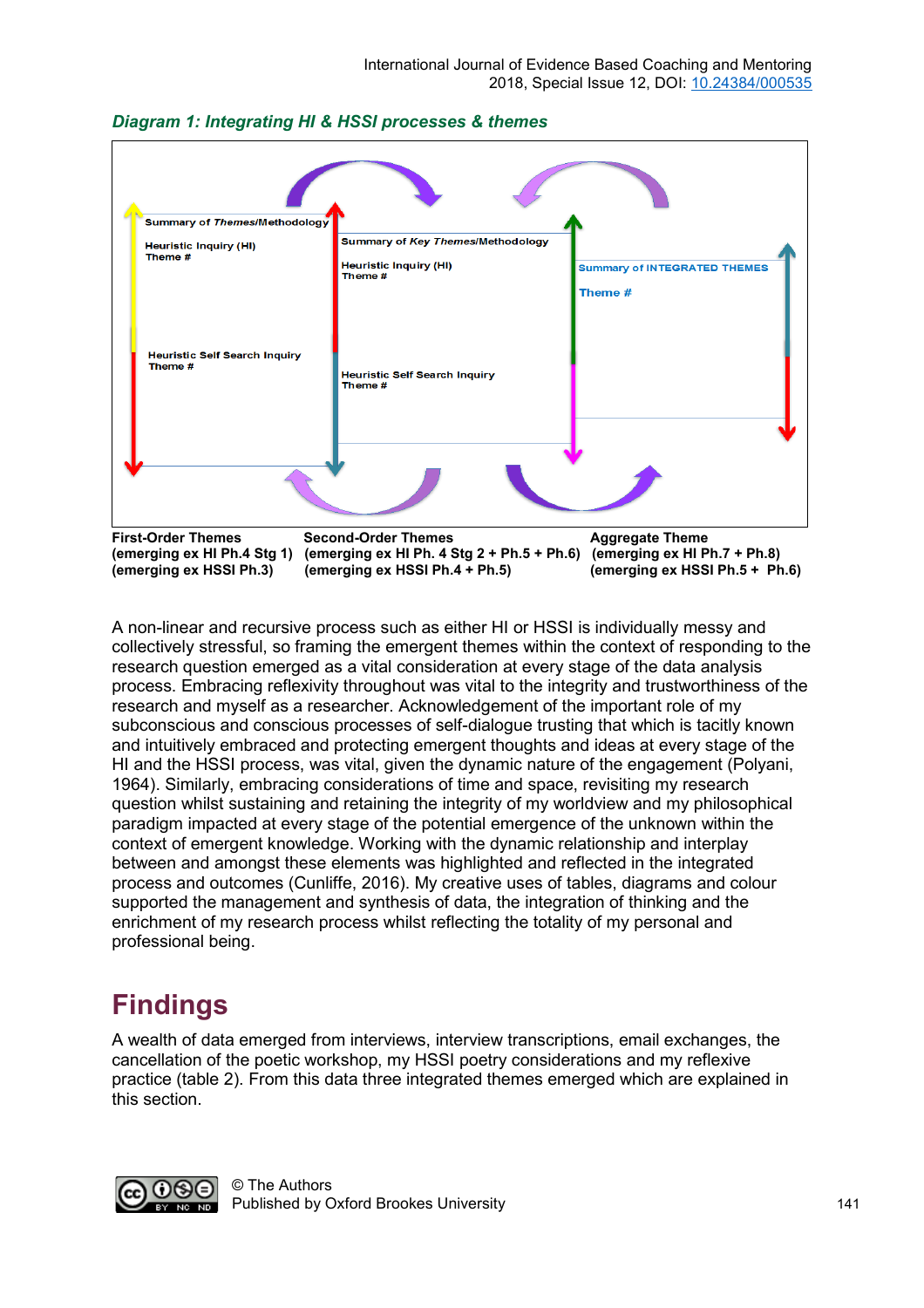

#### *Diagram 1: Integrating HI & HSSI processes & themes*

A non-linear and recursive process such as either HI or HSSI is individually messy and collectively stressful, so framing the emergent themes within the context of responding to the research question emerged as a vital consideration at every stage of the data analysis process. Embracing reflexivity throughout was vital to the integrity and trustworthiness of the research and myself as a researcher. Acknowledgement of the important role of my subconscious and conscious processes of self-dialogue trusting that which is tacitly known and intuitively embraced and protecting emergent thoughts and ideas at every stage of the HI and the HSSI process, was vital, given the dynamic nature of the engagement (Polyani, 1964). Similarly, embracing considerations of time and space, revisiting my research question whilst sustaining and retaining the integrity of my worldview and my philosophical paradigm impacted at every stage of the potential emergence of the unknown within the context of emergent knowledge. Working with the dynamic relationship and interplay between and amongst these elements was highlighted and reflected in the integrated process and outcomes (Cunliffe, 2016). My creative uses of tables, diagrams and colour supported the management and synthesis of data, the integration of thinking and the enrichment of my research process whilst reflecting the totality of my personal and professional being.

### **Findings**

A wealth of data emerged from interviews, interview transcriptions, email exchanges, the cancellation of the poetic workshop, my HSSI poetry considerations and my reflexive practice (table 2). From this data three integrated themes emerged which are explained in this section.

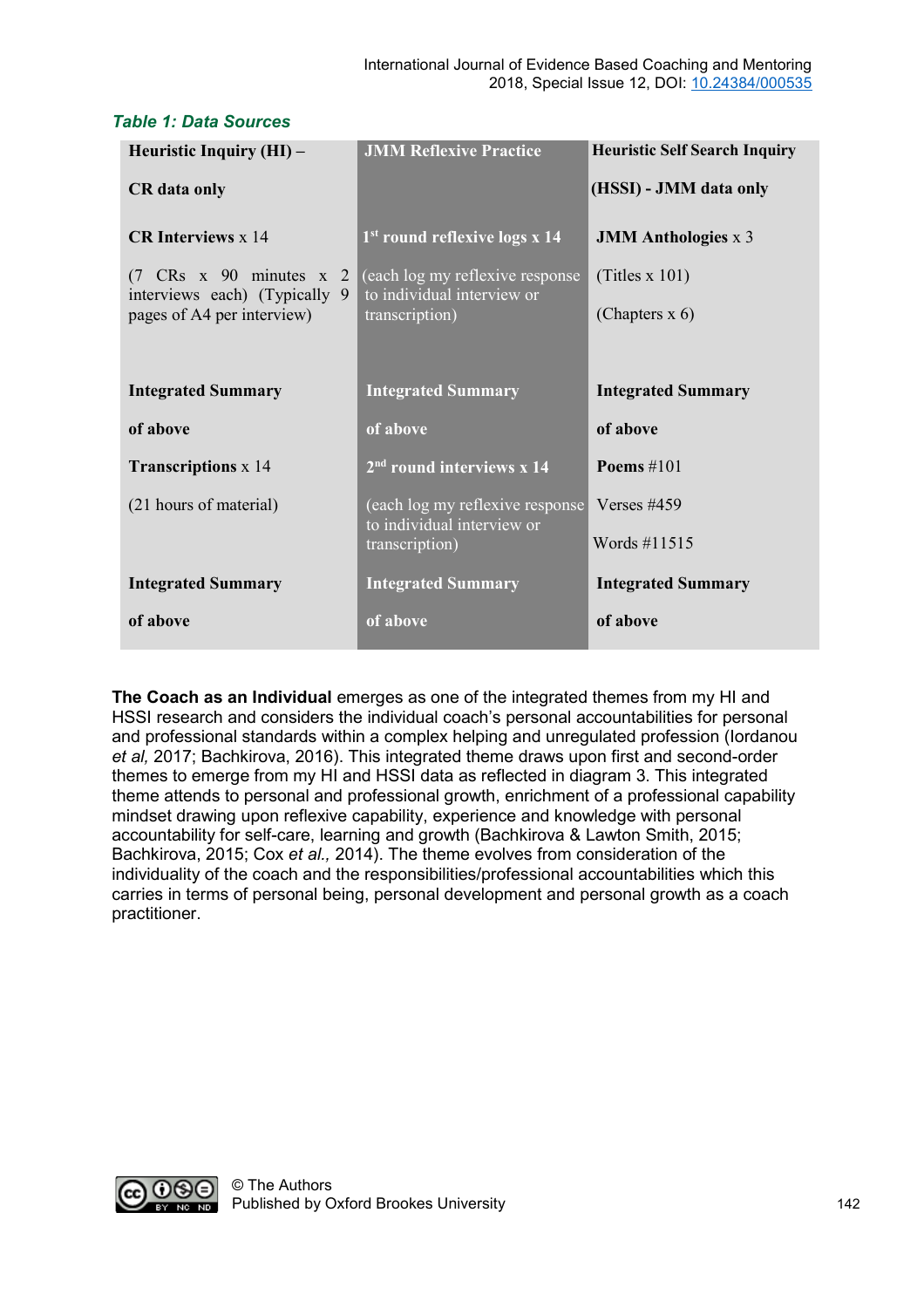| Heuristic Inquiry (HI) -                                                              | <b>JMM Reflexive Practice</b>                                          | <b>Heuristic Self Search Inquiry</b> |
|---------------------------------------------------------------------------------------|------------------------------------------------------------------------|--------------------------------------|
| <b>CR</b> data only                                                                   |                                                                        | (HSSI) - JMM data only               |
| <b>CR Interviews x 14</b>                                                             | 1 <sup>st</sup> round reflexive logs x 14                              | <b>JMM</b> Anthologies x 3           |
| $(7 \text{ CRs} \times 90 \text{ minutes} \times 2)$<br>interviews each) (Typically 9 | $\alpha$ (each log my reflexive response<br>to individual interview or | (Titles x 101)                       |
| pages of A4 per interview)                                                            | transcription)                                                         | (Chapters $x$ 6)                     |
|                                                                                       |                                                                        |                                      |
| <b>Integrated Summary</b>                                                             | <b>Integrated Summary</b>                                              | <b>Integrated Summary</b>            |
| of above                                                                              | of above                                                               | of above                             |
| <b>Transcriptions</b> x 14                                                            | $2nd$ round interviews x 14                                            | Poems $\#101$                        |
| (21 hours of material)                                                                | (each log my reflexive response<br>to individual interview or          | Verses $\#459$                       |
|                                                                                       | transcription)                                                         | Words #11515                         |
| <b>Integrated Summary</b>                                                             | <b>Integrated Summary</b>                                              | <b>Integrated Summary</b>            |
| of above                                                                              | of above                                                               | of above                             |

#### *Table 1: Data Sources*

**The Coach as an Individual** emerges as one of the integrated themes from my HI and HSSI research and considers the individual coach's personal accountabilities for personal and professional standards within a complex helping and unregulated profession (Iordanou *et al,* 2017; Bachkirova, 2016). This integrated theme draws upon first and second-order themes to emerge from my HI and HSSI data as reflected in diagram 3. This integrated theme attends to personal and professional growth, enrichment of a professional capability mindset drawing upon reflexive capability, experience and knowledge with personal accountability for self-care, learning and growth (Bachkirova & Lawton Smith, 2015; Bachkirova, 2015; Cox *et al.,* 2014). The theme evolves from consideration of the individuality of the coach and the responsibilities/professional accountabilities which this carries in terms of personal being, personal development and personal growth as a coach practitioner.

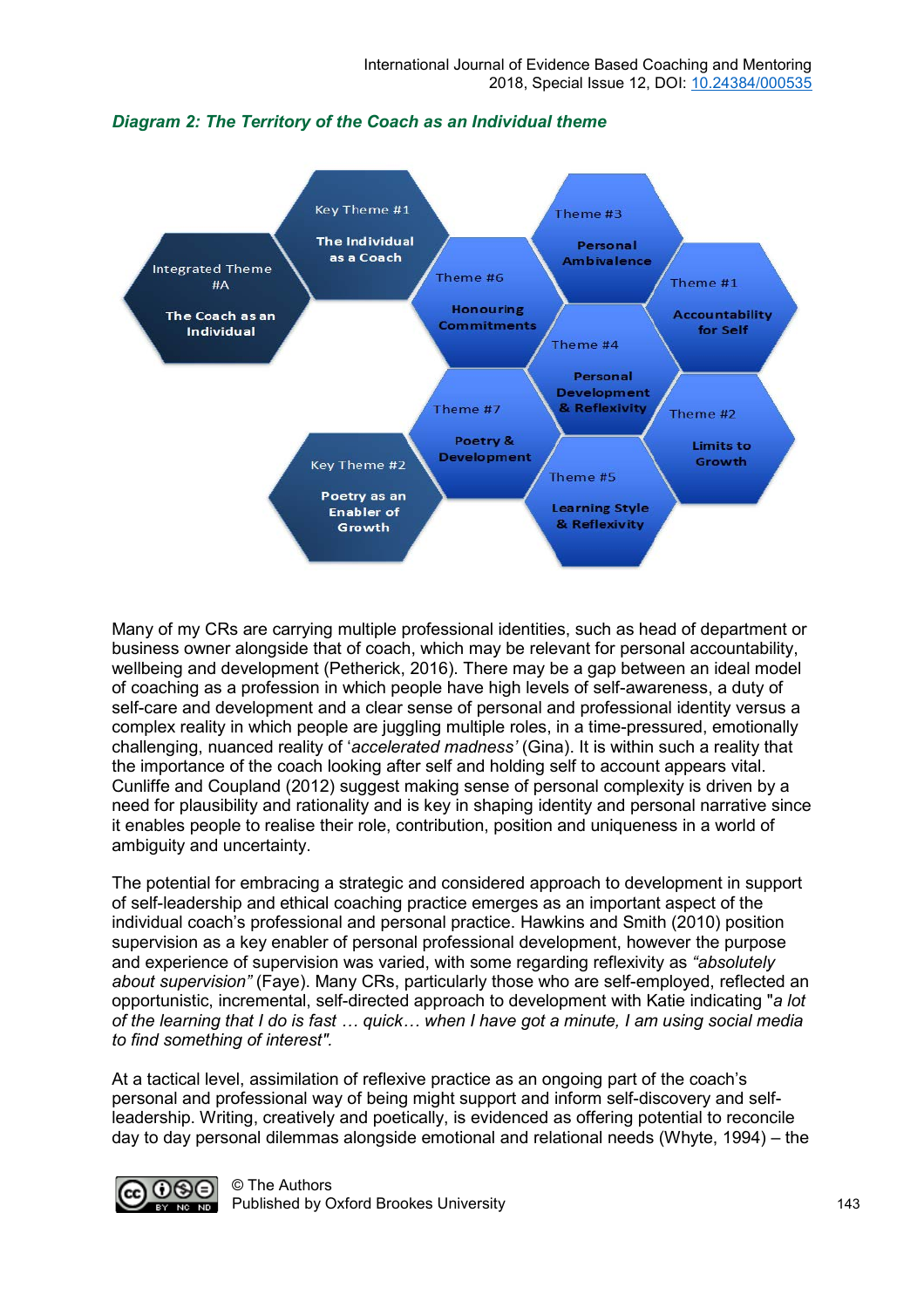

#### *Diagram 2: The Territory of the Coach as an Individual theme*

Many of my CRs are carrying multiple professional identities, such as head of department or business owner alongside that of coach, which may be relevant for personal accountability, wellbeing and development (Petherick, 2016). There may be a gap between an ideal model of coaching as a profession in which people have high levels of self-awareness, a duty of self-care and development and a clear sense of personal and professional identity versus a complex reality in which people are juggling multiple roles, in a time-pressured, emotionally challenging, nuanced reality of '*accelerated madness'* (Gina). It is within such a reality that the importance of the coach looking after self and holding self to account appears vital. Cunliffe and Coupland (2012) suggest making sense of personal complexity is driven by a need for plausibility and rationality and is key in shaping identity and personal narrative since it enables people to realise their role, contribution, position and uniqueness in a world of ambiguity and uncertainty.

The potential for embracing a strategic and considered approach to development in support of self-leadership and ethical coaching practice emerges as an important aspect of the individual coach's professional and personal practice. Hawkins and Smith (2010) position supervision as a key enabler of personal professional development, however the purpose and experience of supervision was varied, with some regarding reflexivity as *"absolutely about supervision"* (Faye). Many CRs, particularly those who are self-employed, reflected an opportunistic, incremental, self-directed approach to development with Katie indicating "*a lot of the learning that I do is fast … quick… when I have got a minute, I am using social media to find something of interest".* 

At a tactical level, assimilation of reflexive practice as an ongoing part of the coach's personal and professional way of being might support and inform self-discovery and selfleadership. Writing, creatively and poetically, is evidenced as offering potential to reconcile day to day personal dilemmas alongside emotional and relational needs (Whyte, 1994) – the

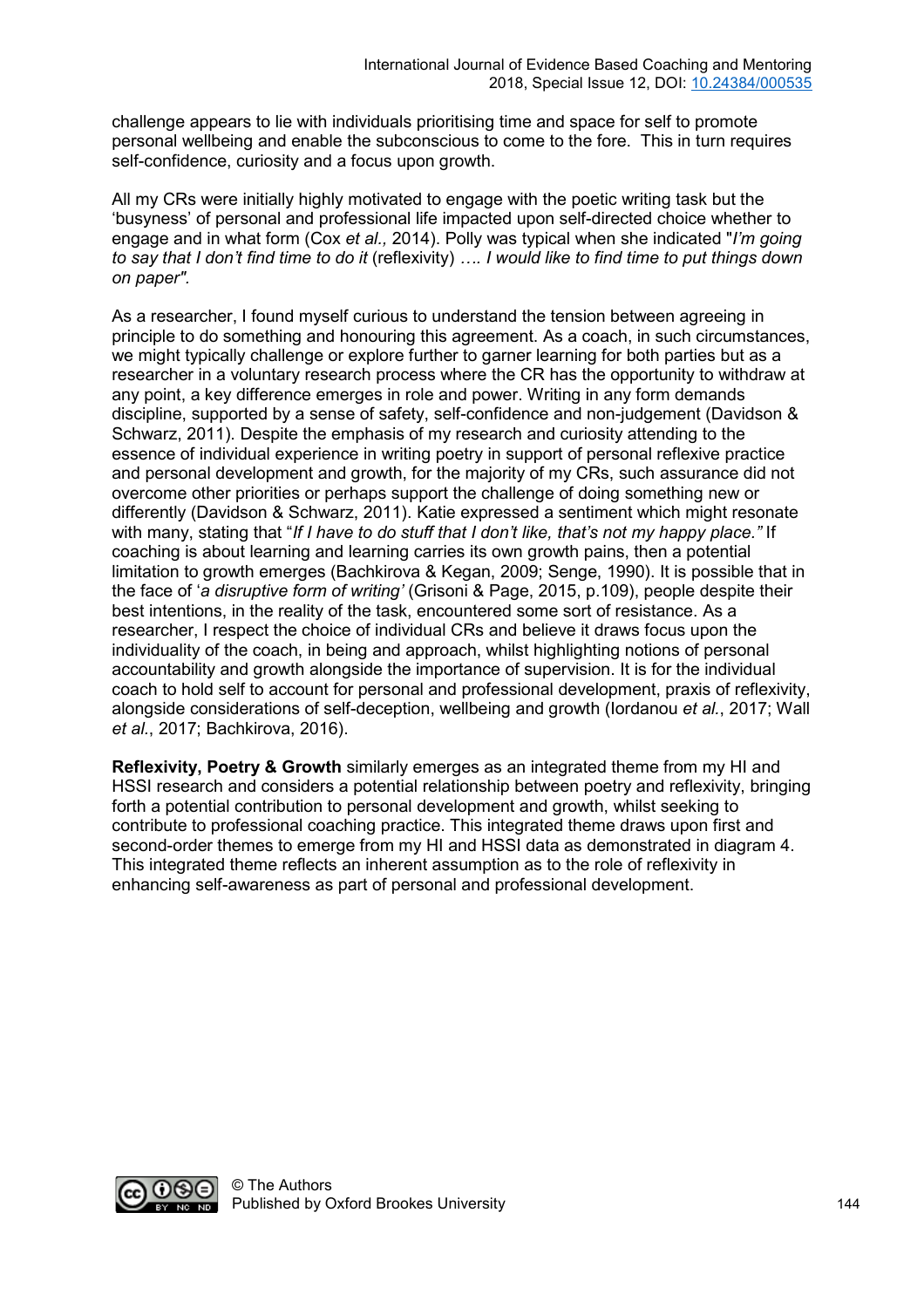challenge appears to lie with individuals prioritising time and space for self to promote personal wellbeing and enable the subconscious to come to the fore. This in turn requires self-confidence, curiosity and a focus upon growth.

All my CRs were initially highly motivated to engage with the poetic writing task but the 'busyness' of personal and professional life impacted upon self-directed choice whether to engage and in what form (Cox *et al.,* 2014). Polly was typical when she indicated "*I'm going to say that I don't find time to do it* (reflexivity) *…. I would like to find time to put things down on paper".* 

As a researcher, I found myself curious to understand the tension between agreeing in principle to do something and honouring this agreement. As a coach, in such circumstances, we might typically challenge or explore further to garner learning for both parties but as a researcher in a voluntary research process where the CR has the opportunity to withdraw at any point, a key difference emerges in role and power. Writing in any form demands discipline, supported by a sense of safety, self-confidence and non-judgement (Davidson & Schwarz, 2011). Despite the emphasis of my research and curiosity attending to the essence of individual experience in writing poetry in support of personal reflexive practice and personal development and growth, for the majority of my CRs, such assurance did not overcome other priorities or perhaps support the challenge of doing something new or differently (Davidson & Schwarz, 2011). Katie expressed a sentiment which might resonate with many, stating that "*If I have to do stuff that I don't like, that's not my happy place."* If coaching is about learning and learning carries its own growth pains, then a potential limitation to growth emerges (Bachkirova & Kegan, 2009; Senge, 1990). It is possible that in the face of '*a disruptive form of writing'* (Grisoni & Page, 2015, p.109), people despite their best intentions, in the reality of the task, encountered some sort of resistance. As a researcher, I respect the choice of individual CRs and believe it draws focus upon the individuality of the coach, in being and approach, whilst highlighting notions of personal accountability and growth alongside the importance of supervision. It is for the individual coach to hold self to account for personal and professional development, praxis of reflexivity, alongside considerations of self-deception, wellbeing and growth (Iordanou *et al.*, 2017; Wall *et al.*, 2017; Bachkirova, 2016).

**Reflexivity, Poetry & Growth** similarly emerges as an integrated theme from my HI and HSSI research and considers a potential relationship between poetry and reflexivity, bringing forth a potential contribution to personal development and growth, whilst seeking to contribute to professional coaching practice. This integrated theme draws upon first and second-order themes to emerge from my HI and HSSI data as demonstrated in diagram 4. This integrated theme reflects an inherent assumption as to the role of reflexivity in enhancing self-awareness as part of personal and professional development.

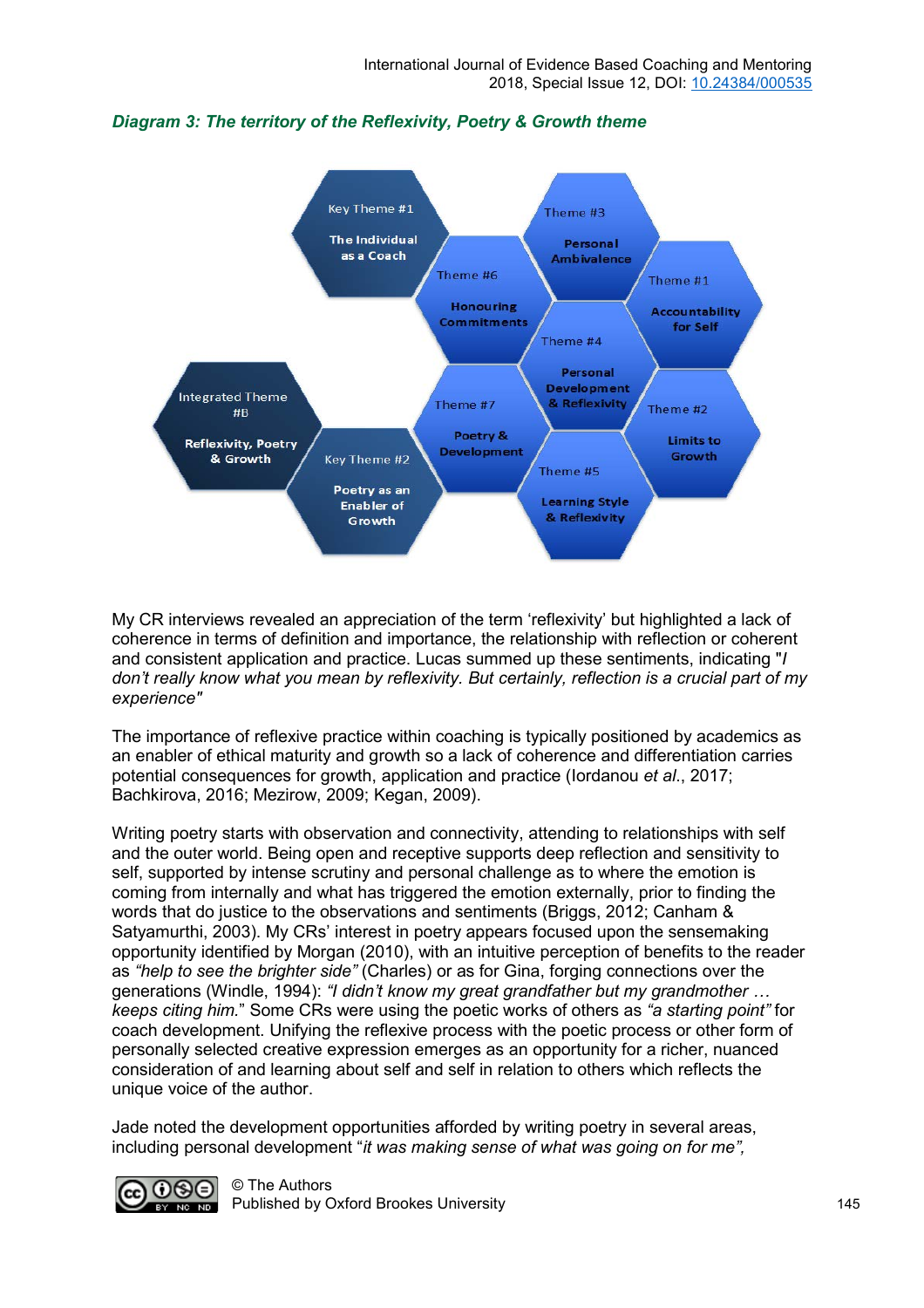



My CR interviews revealed an appreciation of the term 'reflexivity' but highlighted a lack of coherence in terms of definition and importance, the relationship with reflection or coherent and consistent application and practice. Lucas summed up these sentiments, indicating "*I don't really know what you mean by reflexivity. But certainly, reflection is a crucial part of my experience"* 

The importance of reflexive practice within coaching is typically positioned by academics as an enabler of ethical maturity and growth so a lack of coherence and differentiation carries potential consequences for growth, application and practice (Iordanou *et al*., 2017; Bachkirova, 2016; Mezirow, 2009; Kegan, 2009).

Writing poetry starts with observation and connectivity, attending to relationships with self and the outer world. Being open and receptive supports deep reflection and sensitivity to self, supported by intense scrutiny and personal challenge as to where the emotion is coming from internally and what has triggered the emotion externally, prior to finding the words that do justice to the observations and sentiments (Briggs, 2012; Canham & Satyamurthi, 2003). My CRs' interest in poetry appears focused upon the sensemaking opportunity identified by Morgan (2010), with an intuitive perception of benefits to the reader as *"help to see the brighter side"* (Charles) or as for Gina, forging connections over the generations (Windle, 1994): *"I didn't know my great grandfather but my grandmother … keeps citing him.*" Some CRs were using the poetic works of others as *"a starting point"* for coach development. Unifying the reflexive process with the poetic process or other form of personally selected creative expression emerges as an opportunity for a richer, nuanced consideration of and learning about self and self in relation to others which reflects the unique voice of the author.

Jade noted the development opportunities afforded by writing poetry in several areas, including personal development "*it was making sense of what was going on for me",*

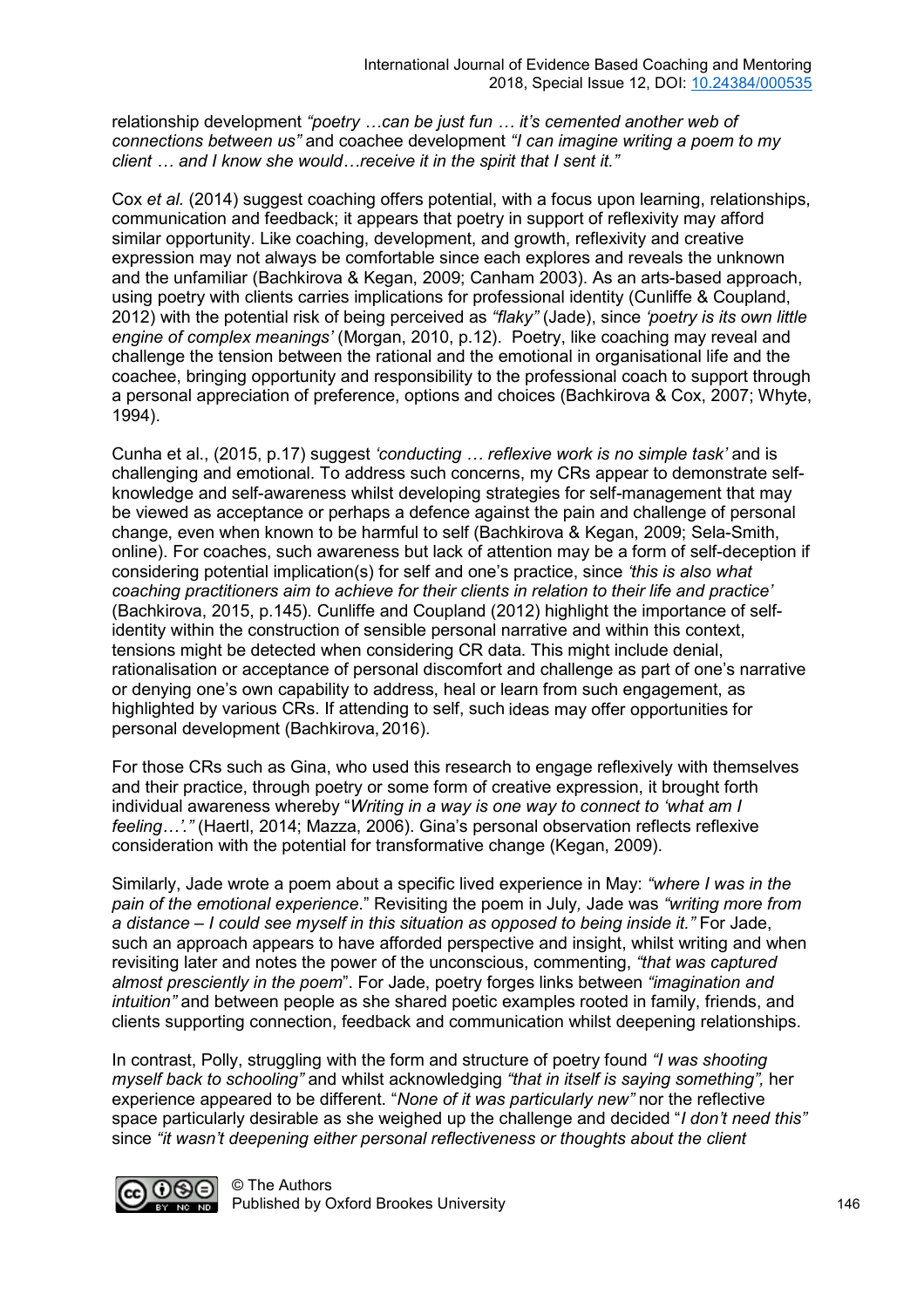relationship development *"poetry …can be just fun … it's cemented another web of connections between us"* and coachee development *"I can imagine writing a poem to my client … and I know she would…receive it in the spirit that I sent it."*

Cox *et al.* (2014) suggest coaching offers potential, with a focus upon learning, relationships, communication and feedback; it appears that poetry in support of reflexivity may afford similar opportunity. Like coaching, development, and growth, reflexivity and creative expression may not always be comfortable since each explores and reveals the unknown and the unfamiliar (Bachkirova & Kegan, 2009; Canham 2003). As an arts-based approach, using poetry with clients carries implications for professional identity (Cunliffe & Coupland, 2012) with the potential risk of being perceived as *"flaky"* (Jade), since *'poetry is its own little engine of complex meanings'* (Morgan, 2010, p.12). Poetry, like coaching may reveal and challenge the tension between the rational and the emotional in organisational life and the coachee, bringing opportunity and responsibility to the professional coach to support through a personal appreciation of preference, options and choices (Bachkirova & Cox, 2007; Whyte, 1994).

Cunha et al., (2015, p.17) suggest *'conducting … reflexive work is no simple task'* and is challenging and emotional. To address such concerns, my CRs appear to demonstrate selfknowledge and self-awareness whilst developing strategies for self-management that may be viewed as acceptance or perhaps a defence against the pain and challenge of personal change, even when known to be harmful to self (Bachkirova & Kegan, 2009; Sela-Smith, online). For coaches, such awareness but lack of attention may be a form of self-deception if considering potential implication(s) for self and one's practice, since *'this is also what coaching practitioners aim to achieve for their clients in relation to their life and practice'*  (Bachkirova, 2015, p.145)*.* Cunliffe and Coupland (2012) highlight the importance of selfidentity within the construction of sensible personal narrative and within this context, tensions might be detected when considering CR data. This might include denial, rationalisation or acceptance of personal discomfort and challenge as part of one's narrative or denying one's own capability to address, heal or learn from such engagement, as highlighted by various CRs. If attending to self, such ideas may offer opportunities for personal development (Bachkirova,2016).

For those CRs such as Gina, who used this research to engage reflexively with themselves and their practice, through poetry or some form of creative expression, it brought forth individual awareness whereby "*Writing in a way is one way to connect to 'what am I feeling…'."* (Haertl, 2014; Mazza, 2006). Gina's personal observation reflects reflexive consideration with the potential for transformative change (Kegan, 2009).

Similarly, Jade wrote a poem about a specific lived experience in May: *"where I was in the pain of the emotional experience*." Revisiting the poem in July*,* Jade was *"writing more from a distance – I could see myself in this situation as opposed to being inside it."* For Jade, such an approach appears to have afforded perspective and insight, whilst writing and when revisiting later and notes the power of the unconscious, commenting, *"that was captured almost presciently in the poem*". For Jade, poetry forges links between *"imagination and intuition"* and between people as she shared poetic examples rooted in family, friends, and clients supporting connection, feedback and communication whilst deepening relationships.

In contrast, Polly, struggling with the form and structure of poetry found *"I was shooting myself back to schooling"* and whilst acknowledging *"that in itself is saying something",* her experience appeared to be different. "*None of it was particularly new"* nor the reflective space particularly desirable as she weighed up the challenge and decided "*I don't need this"*  since *"it wasn't deepening either personal reflectiveness or thoughts about the client* 

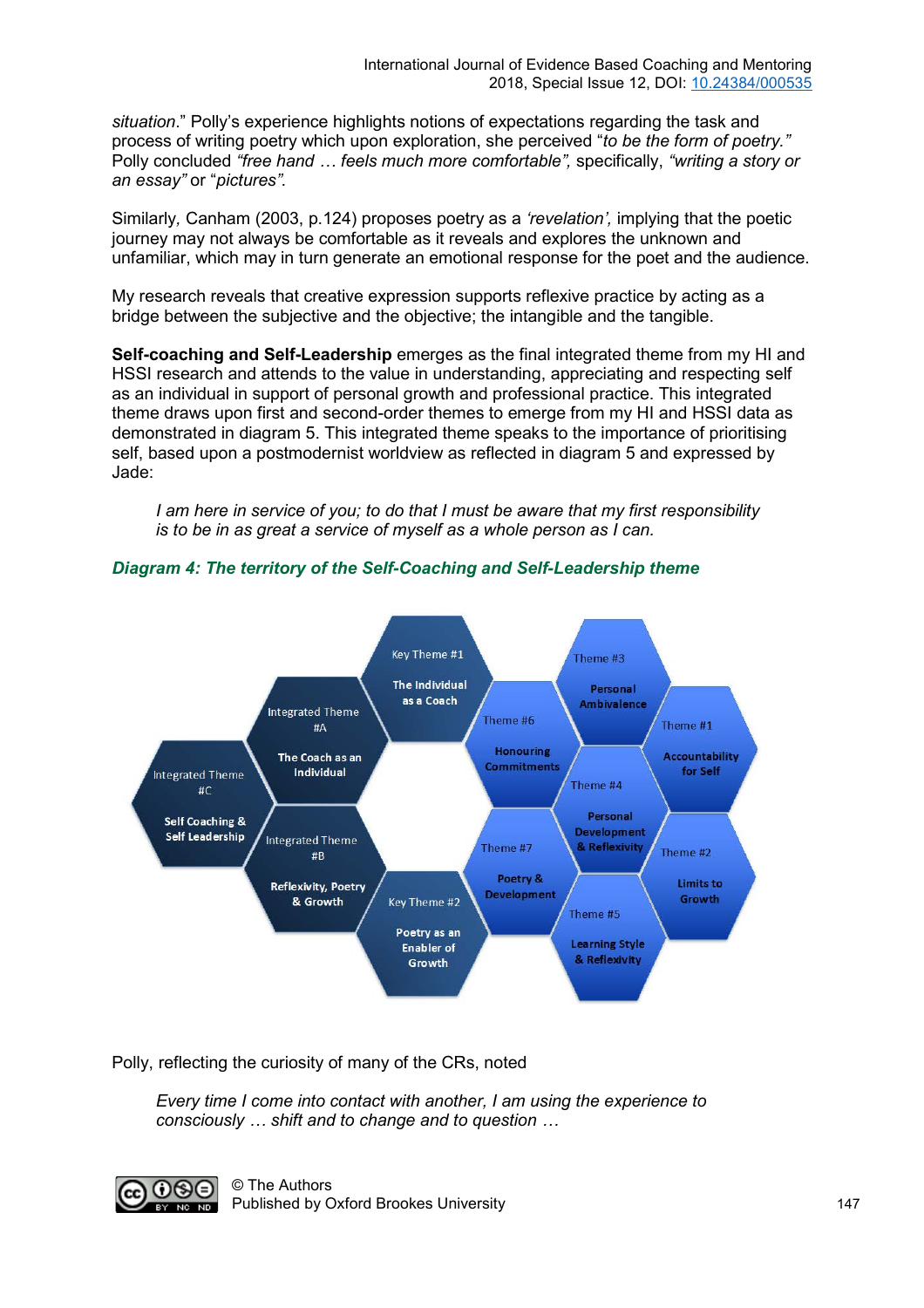*situation*." Polly's experience highlights notions of expectations regarding the task and process of writing poetry which upon exploration, she perceived "*to be the form of poetry."* Polly concluded *"free hand … feels much more comfortable",* specifically, *"writing a story or an essay"* or "*pictures".* 

Similarly*,* Canham (2003, p.124) proposes poetry as a *'revelation',* implying that the poetic journey may not always be comfortable as it reveals and explores the unknown and unfamiliar, which may in turn generate an emotional response for the poet and the audience.

My research reveals that creative expression supports reflexive practice by acting as a bridge between the subjective and the objective; the intangible and the tangible.

**Self-coaching and Self-Leadership** emerges as the final integrated theme from my HI and HSSI research and attends to the value in understanding, appreciating and respecting self as an individual in support of personal growth and professional practice. This integrated theme draws upon first and second-order themes to emerge from my HI and HSSI data as demonstrated in diagram 5. This integrated theme speaks to the importance of prioritising self, based upon a postmodernist worldview as reflected in diagram 5 and expressed by Jade:

*I am here in service of you; to do that I must be aware that my first responsibility is to be in as great a service of myself as a whole person as I can.*



#### *Diagram 4: The territory of the Self-Coaching and Self-Leadership theme*

Polly, reflecting the curiosity of many of the CRs, noted

*Every time I come into contact with another, I am using the experience to consciously … shift and to change and to question …* 

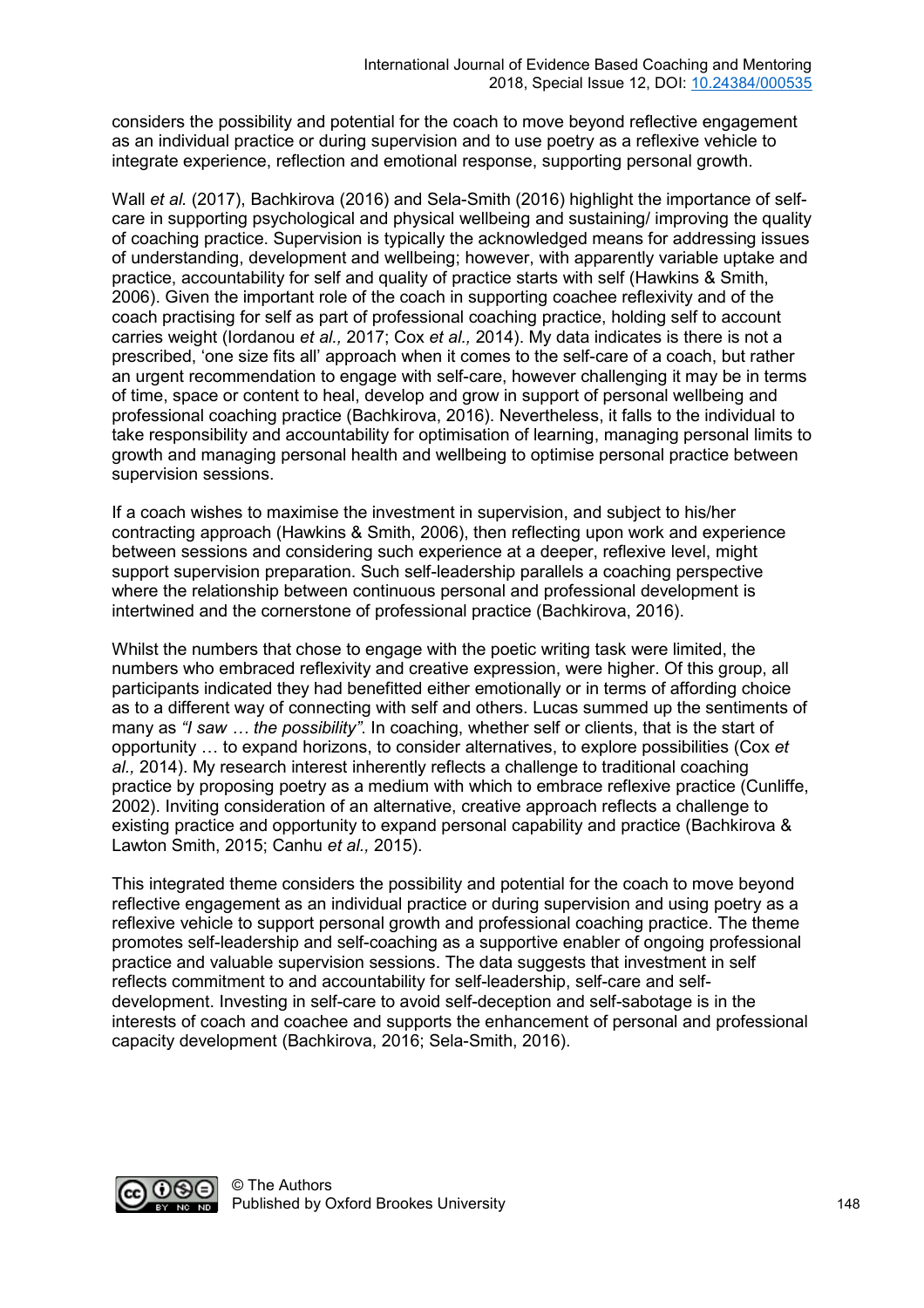considers the possibility and potential for the coach to move beyond reflective engagement as an individual practice or during supervision and to use poetry as a reflexive vehicle to integrate experience, reflection and emotional response, supporting personal growth.

Wall *et al.* (2017), Bachkirova (2016) and Sela-Smith (2016) highlight the importance of selfcare in supporting psychological and physical wellbeing and sustaining/ improving the quality of coaching practice. Supervision is typically the acknowledged means for addressing issues of understanding, development and wellbeing; however, with apparently variable uptake and practice, accountability for self and quality of practice starts with self (Hawkins & Smith, 2006). Given the important role of the coach in supporting coachee reflexivity and of the coach practising for self as part of professional coaching practice, holding self to account carries weight (Iordanou *et al.,* 2017; Cox *et al.,* 2014). My data indicates is there is not a prescribed, 'one size fits all' approach when it comes to the self-care of a coach, but rather an urgent recommendation to engage with self-care, however challenging it may be in terms of time, space or content to heal, develop and grow in support of personal wellbeing and professional coaching practice (Bachkirova, 2016). Nevertheless, it falls to the individual to take responsibility and accountability for optimisation of learning, managing personal limits to growth and managing personal health and wellbeing to optimise personal practice between supervision sessions.

If a coach wishes to maximise the investment in supervision, and subject to his/her contracting approach (Hawkins & Smith, 2006), then reflecting upon work and experience between sessions and considering such experience at a deeper, reflexive level, might support supervision preparation. Such self-leadership parallels a coaching perspective where the relationship between continuous personal and professional development is intertwined and the cornerstone of professional practice (Bachkirova, 2016).

Whilst the numbers that chose to engage with the poetic writing task were limited, the numbers who embraced reflexivity and creative expression, were higher. Of this group, all participants indicated they had benefitted either emotionally or in terms of affording choice as to a different way of connecting with self and others. Lucas summed up the sentiments of many as *"I saw … the possibility"*. In coaching, whether self or clients, that is the start of opportunity … to expand horizons, to consider alternatives, to explore possibilities (Cox *et al.,* 2014). My research interest inherently reflects a challenge to traditional coaching practice by proposing poetry as a medium with which to embrace reflexive practice (Cunliffe, 2002). Inviting consideration of an alternative, creative approach reflects a challenge to existing practice and opportunity to expand personal capability and practice (Bachkirova & Lawton Smith, 2015; Canhu *et al.,* 2015).

This integrated theme considers the possibility and potential for the coach to move beyond reflective engagement as an individual practice or during supervision and using poetry as a reflexive vehicle to support personal growth and professional coaching practice. The theme promotes self-leadership and self-coaching as a supportive enabler of ongoing professional practice and valuable supervision sessions. The data suggests that investment in self reflects commitment to and accountability for self-leadership, self-care and selfdevelopment. Investing in self-care to avoid self-deception and self-sabotage is in the interests of coach and coachee and supports the enhancement of personal and professional capacity development (Bachkirova, 2016; Sela-Smith, 2016).

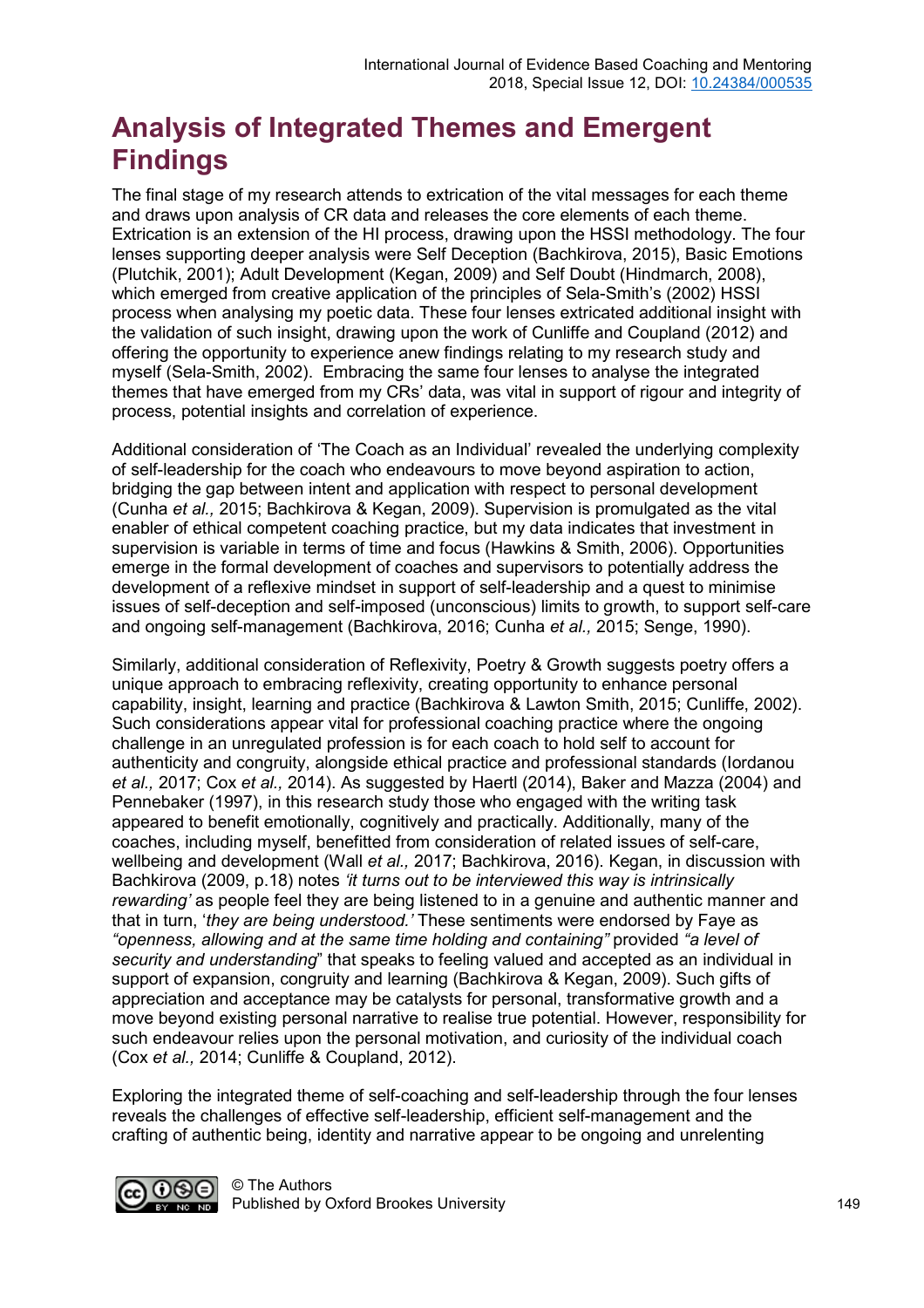# **Analysis of Integrated Themes and Emergent Findings**

The final stage of my research attends to extrication of the vital messages for each theme and draws upon analysis of CR data and releases the core elements of each theme. Extrication is an extension of the HI process, drawing upon the HSSI methodology. The four lenses supporting deeper analysis were Self Deception (Bachkirova, 2015), Basic Emotions (Plutchik, 2001); Adult Development (Kegan, 2009) and Self Doubt (Hindmarch, 2008), which emerged from creative application of the principles of Sela-Smith's (2002) HSSI process when analysing my poetic data. These four lenses extricated additional insight with the validation of such insight, drawing upon the work of Cunliffe and Coupland (2012) and offering the opportunity to experience anew findings relating to my research study and myself (Sela-Smith, 2002). Embracing the same four lenses to analyse the integrated themes that have emerged from my CRs' data, was vital in support of rigour and integrity of process, potential insights and correlation of experience.

Additional consideration of 'The Coach as an Individual' revealed the underlying complexity of self-leadership for the coach who endeavours to move beyond aspiration to action, bridging the gap between intent and application with respect to personal development (Cunha *et al.,* 2015; Bachkirova & Kegan, 2009). Supervision is promulgated as the vital enabler of ethical competent coaching practice, but my data indicates that investment in supervision is variable in terms of time and focus (Hawkins & Smith, 2006). Opportunities emerge in the formal development of coaches and supervisors to potentially address the development of a reflexive mindset in support of self-leadership and a quest to minimise issues of self-deception and self-imposed (unconscious) limits to growth, to support self-care and ongoing self-management (Bachkirova, 2016; Cunha *et al.,* 2015; Senge, 1990).

Similarly, additional consideration of Reflexivity, Poetry & Growth suggests poetry offers a unique approach to embracing reflexivity, creating opportunity to enhance personal capability, insight, learning and practice (Bachkirova & Lawton Smith, 2015; Cunliffe, 2002). Such considerations appear vital for professional coaching practice where the ongoing challenge in an unregulated profession is for each coach to hold self to account for authenticity and congruity, alongside ethical practice and professional standards (Iordanou *et al.,* 2017; Cox *et al.,* 2014). As suggested by Haertl (2014), Baker and Mazza (2004) and Pennebaker (1997), in this research study those who engaged with the writing task appeared to benefit emotionally, cognitively and practically. Additionally, many of the coaches, including myself, benefitted from consideration of related issues of self-care, wellbeing and development (Wall *et al.,* 2017; Bachkirova, 2016). Kegan, in discussion with Bachkirova (2009, p.18) notes *'it turns out to be interviewed this way is intrinsically rewarding'* as people feel they are being listened to in a genuine and authentic manner and that in turn, '*they are being understood.'* These sentiments were endorsed by Faye as *"openness, allowing and at the same time holding and containing"* provided *"a level of security and understanding*" that speaks to feeling valued and accepted as an individual in support of expansion, congruity and learning (Bachkirova & Kegan, 2009). Such gifts of appreciation and acceptance may be catalysts for personal, transformative growth and a move beyond existing personal narrative to realise true potential. However, responsibility for such endeavour relies upon the personal motivation, and curiosity of the individual coach (Cox *et al.,* 2014; Cunliffe & Coupland, 2012).

Exploring the integrated theme of self-coaching and self-leadership through the four lenses reveals the challenges of effective self-leadership, efficient self-management and the crafting of authentic being, identity and narrative appear to be ongoing and unrelenting

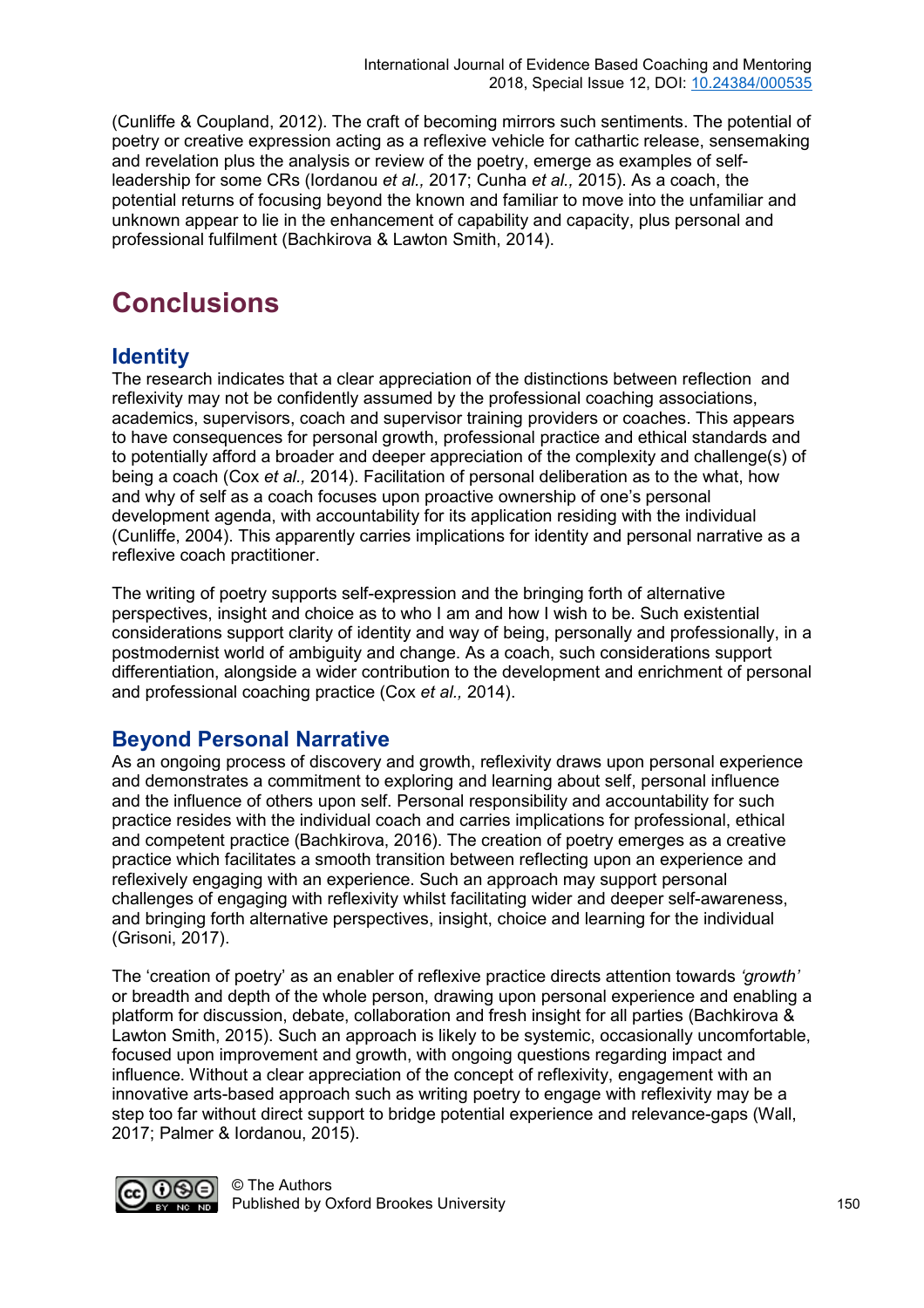(Cunliffe & Coupland, 2012). The craft of becoming mirrors such sentiments. The potential of poetry or creative expression acting as a reflexive vehicle for cathartic release, sensemaking and revelation plus the analysis or review of the poetry, emerge as examples of selfleadership for some CRs (Iordanou *et al.,* 2017; Cunha *et al.,* 2015). As a coach, the potential returns of focusing beyond the known and familiar to move into the unfamiliar and unknown appear to lie in the enhancement of capability and capacity, plus personal and professional fulfilment (Bachkirova & Lawton Smith, 2014).

# **Conclusions**

#### **Identity**

The research indicates that a clear appreciation of the distinctions between reflection and reflexivity may not be confidently assumed by the professional coaching associations, academics, supervisors, coach and supervisor training providers or coaches. This appears to have consequences for personal growth, professional practice and ethical standards and to potentially afford a broader and deeper appreciation of the complexity and challenge(s) of being a coach (Cox *et al.,* 2014). Facilitation of personal deliberation as to the what, how and why of self as a coach focuses upon proactive ownership of one's personal development agenda, with accountability for its application residing with the individual (Cunliffe, 2004). This apparently carries implications for identity and personal narrative as a reflexive coach practitioner.

The writing of poetry supports self-expression and the bringing forth of alternative perspectives, insight and choice as to who I am and how I wish to be. Such existential considerations support clarity of identity and way of being, personally and professionally, in a postmodernist world of ambiguity and change. As a coach, such considerations support differentiation, alongside a wider contribution to the development and enrichment of personal and professional coaching practice (Cox *et al.,* 2014).

#### **Beyond Personal Narrative**

As an ongoing process of discovery and growth, reflexivity draws upon personal experience and demonstrates a commitment to exploring and learning about self, personal influence and the influence of others upon self. Personal responsibility and accountability for such practice resides with the individual coach and carries implications for professional, ethical and competent practice (Bachkirova, 2016). The creation of poetry emerges as a creative practice which facilitates a smooth transition between reflecting upon an experience and reflexively engaging with an experience. Such an approach may support personal challenges of engaging with reflexivity whilst facilitating wider and deeper self-awareness, and bringing forth alternative perspectives, insight, choice and learning for the individual (Grisoni, 2017).

The 'creation of poetry' as an enabler of reflexive practice directs attention towards *'growth'*  or breadth and depth of the whole person, drawing upon personal experience and enabling a platform for discussion, debate, collaboration and fresh insight for all parties (Bachkirova & Lawton Smith, 2015). Such an approach is likely to be systemic, occasionally uncomfortable, focused upon improvement and growth, with ongoing questions regarding impact and influence. Without a clear appreciation of the concept of reflexivity, engagement with an innovative arts-based approach such as writing poetry to engage with reflexivity may be a step too far without direct support to bridge potential experience and relevance-gaps (Wall, 2017; Palmer & Iordanou, 2015).

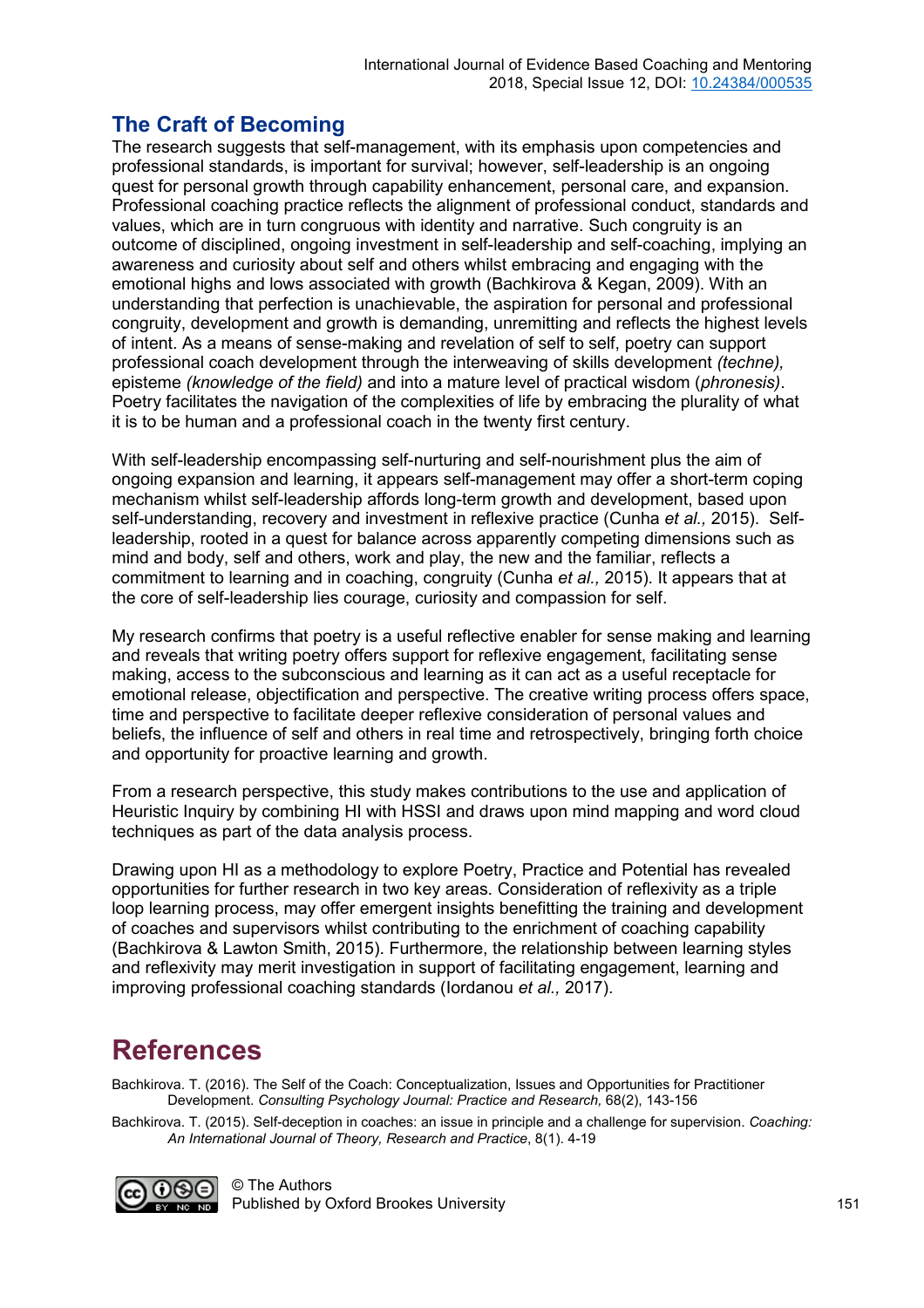#### **The Craft of Becoming**

The research suggests that self-management, with its emphasis upon competencies and professional standards, is important for survival; however, self-leadership is an ongoing quest for personal growth through capability enhancement, personal care, and expansion. Professional coaching practice reflects the alignment of professional conduct, standards and values, which are in turn congruous with identity and narrative. Such congruity is an outcome of disciplined, ongoing investment in self-leadership and self-coaching, implying an awareness and curiosity about self and others whilst embracing and engaging with the emotional highs and lows associated with growth (Bachkirova & Kegan, 2009). With an understanding that perfection is unachievable, the aspiration for personal and professional congruity, development and growth is demanding, unremitting and reflects the highest levels of intent. As a means of sense-making and revelation of self to self, poetry can support professional coach development through the interweaving of skills development *(techne),* episteme *(knowledge of the field)* and into a mature level of practical wisdom (*phronesis)*. Poetry facilitates the navigation of the complexities of life by embracing the plurality of what it is to be human and a professional coach in the twenty first century.

With self-leadership encompassing self-nurturing and self-nourishment plus the aim of ongoing expansion and learning, it appears self-management may offer a short-term coping mechanism whilst self-leadership affords long-term growth and development, based upon self-understanding, recovery and investment in reflexive practice (Cunha *et al.,* 2015). Selfleadership, rooted in a quest for balance across apparently competing dimensions such as mind and body, self and others, work and play, the new and the familiar, reflects a commitment to learning and in coaching, congruity (Cunha *et al.,* 2015). It appears that at the core of self-leadership lies courage, curiosity and compassion for self.

My research confirms that poetry is a useful reflective enabler for sense making and learning and reveals that writing poetry offers support for reflexive engagement, facilitating sense making, access to the subconscious and learning as it can act as a useful receptacle for emotional release, objectification and perspective. The creative writing process offers space, time and perspective to facilitate deeper reflexive consideration of personal values and beliefs, the influence of self and others in real time and retrospectively, bringing forth choice and opportunity for proactive learning and growth.

From a research perspective, this study makes contributions to the use and application of Heuristic Inquiry by combining HI with HSSI and draws upon mind mapping and word cloud techniques as part of the data analysis process.

Drawing upon HI as a methodology to explore Poetry, Practice and Potential has revealed opportunities for further research in two key areas. Consideration of reflexivity as a triple loop learning process, may offer emergent insights benefitting the training and development of coaches and supervisors whilst contributing to the enrichment of coaching capability (Bachkirova & Lawton Smith, 2015). Furthermore, the relationship between learning styles and reflexivity may merit investigation in support of facilitating engagement, learning and improving professional coaching standards (Iordanou *et al.,* 2017).

### **References**

Bachkirova. T. (2016). The Self of the Coach: Conceptualization, Issues and Opportunities for Practitioner Development. *Consulting Psychology Journal: Practice and Research,* 68(2), 143-156

Bachkirova. T. (2015). Self-deception in coaches: an issue in principle and a challenge for supervision. *Coaching: An International Journal of Theory, Research and Practice*, 8(1). 4-19

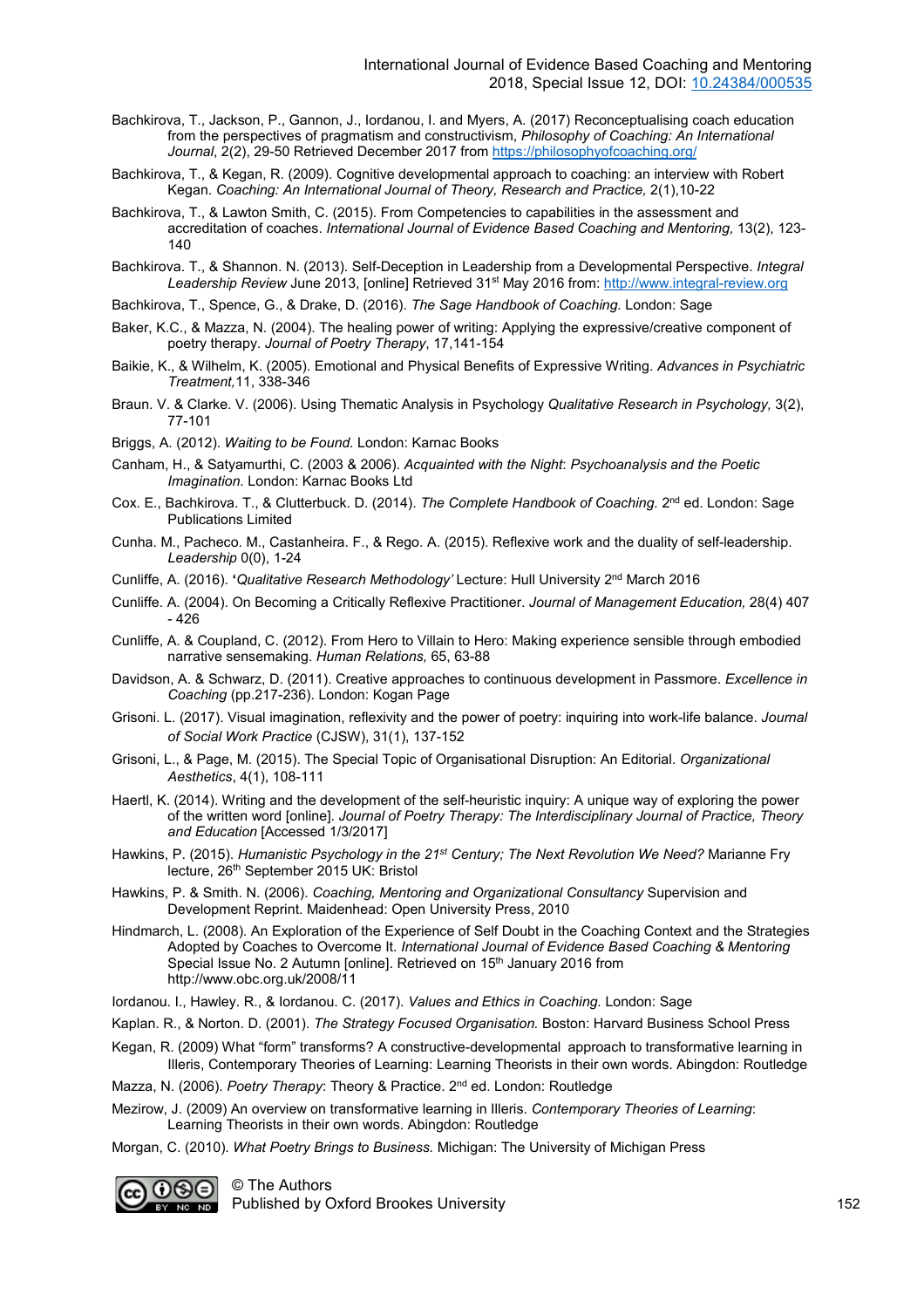- Bachkirova, T., Jackson, P., Gannon, J., Iordanou, I. and Myers, A. (2017) Reconceptualising coach education from the perspectives of pragmatism and constructivism, *Philosophy of Coaching: An International Journal*, 2(2), 29-50 Retrieved December 2017 from <https://philosophyofcoaching.org/>
- Bachkirova, T., & Kegan, R. (2009). Cognitive developmental approach to coaching: an interview with Robert Kegan. *Coaching: An International Journal of Theory, Research and Practice,* 2(1),10-22
- Bachkirova, T., & Lawton Smith, C. (2015). From Competencies to capabilities in the assessment and accreditation of coaches. *International Journal of Evidence Based Coaching and Mentoring,* 13(2), 123- 140
- Bachkirova. T., & Shannon. N. (2013). Self-Deception in Leadership from a Developmental Perspective. *Integral Leadership Review* June 2013, [online] Retrieved 31st May 2016 from: [http://www.integral-review.org](http://www.integral-review.org/)
- Bachkirova, T., Spence, G., & Drake, D. (2016). *The Sage Handbook of Coaching.* London: Sage
- Baker, K.C., & Mazza, N. (2004). The healing power of writing: Applying the expressive/creative component of poetry therapy. *Journal of Poetry Therapy*, 17,141-154
- Baikie, K., & Wilhelm, K. (2005). Emotional and Physical Benefits of Expressive Writing. *Advances in Psychiatric Treatment,*11, 338-346
- Braun. V. & Clarke. V. (2006). Using Thematic Analysis in Psychology *Qualitative Research in Psychology,* 3(2), 77-101
- Briggs, A. (2012). *Waiting to be Found.* London: Karnac Books
- Canham, H., & Satyamurthi, C. (2003 & 2006). *Acquainted with the Night*: *Psychoanalysis and the Poetic Imagination.* London: Karnac Books Ltd
- Cox. E., Bachkirova. T., & Clutterbuck. D. (2014). *The Complete Handbook of Coaching.* 2<sup>nd</sup> ed. London: Sage Publications Limited
- Cunha. M., Pacheco. M., Castanheira. F., & Rego. A. (2015). Reflexive work and the duality of self-leadership. *Leadership* 0(0), 1-24
- Cunliffe, A. (2016). **'***Qualitative Research Methodology'* Lecture: Hull University 2nd March 2016
- Cunliffe. A. (2004). On Becoming a Critically Reflexive Practitioner. *Journal of Management Education,* 28(4) 407 - 426
- Cunliffe, A. & Coupland, C. (2012). From Hero to Villain to Hero: Making experience sensible through embodied narrative sensemaking. *Human Relations,* 65, 63-88
- Davidson, A. & Schwarz, D. (2011). Creative approaches to continuous development in Passmore. *Excellence in Coaching* (pp.217-236). London: Kogan Page
- Grisoni. L. (2017). Visual imagination, reflexivity and the power of poetry: inquiring into work-life balance. *Journal of Social Work Practice* (CJSW), 31(1), 137-152
- Grisoni, L., & Page, M. (2015). The Special Topic of Organisational Disruption: An Editorial. *Organizational Aesthetics*, 4(1), 108-111
- Haertl, K. (2014). Writing and the development of the self-heuristic inquiry: A unique way of exploring the power of the written word [online]. *Journal of Poetry Therapy: The Interdisciplinary Journal of Practice, Theory and Education* [Accessed 1/3/2017]
- Hawkins, P. (2015). *Humanistic Psychology in the 21st Century; The Next Revolution We Need?* Marianne Fry lecture, 26<sup>th</sup> September 2015 UK: Bristol
- Hawkins, P. & Smith. N. (2006). *Coaching, Mentoring and Organizational Consultancy* Supervision and Development Reprint. Maidenhead: Open University Press, 2010
- Hindmarch, L. (2008). An Exploration of the Experience of Self Doubt in the Coaching Context and the Strategies Adopted by Coaches to Overcome It. *International Journal of Evidence Based Coaching & Mentoring*  Special Issue No. 2 Autumn [online]. Retrieved on 15<sup>th</sup> January 2016 from http://www.obc.org.uk/2008/11
- Iordanou. I., Hawley. R., & Iordanou. C. (2017). *Values and Ethics in Coaching.* London: Sage
- Kaplan. R., & Norton. D. (2001). *The Strategy Focused Organisation.* Boston: Harvard Business School Press
- Kegan, R. (2009) What "form" transforms? A constructive-developmental approach to transformative learning in Illeris, Contemporary Theories of Learning: Learning Theorists in their own words. Abingdon: Routledge

Mazza, N. (2006). *Poetry Therapy*: Theory & Practice. 2nd ed. London: Routledge

Mezirow, J. (2009) An overview on transformative learning in Illeris. *Contemporary Theories of Learning*: Learning Theorists in their own words. Abingdon: Routledge

Morgan, C. (2010). *What Poetry Brings to Business.* Michigan: The University of Michigan Press